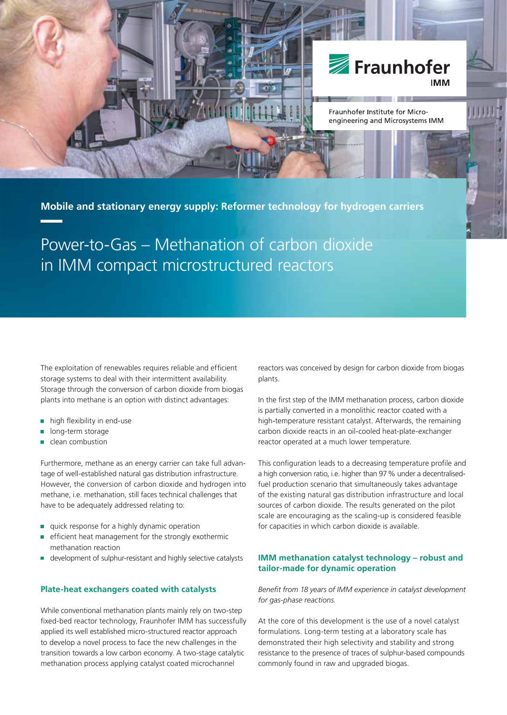

**Mobile and stationary energy supply: Reformer technology for hydrogen carriers**

Power-to-Gas – Methanation of carbon dioxide in IMM compact microstructured reactors

The exploitation of renewables requires reliable and efficient storage systems to deal with their intermittent availability. Storage through the conversion of carbon dioxide from biogas plants into methane is an option with distinct advantages:

- high flexibility in end-use
- long-term storage
- clean combustion

Furthermore, methane as an energy carrier can take full advantage of well-established natural gas distribution infrastructure. However, the conversion of carbon dioxide and hydrogen into methane, i.e. methanation, still faces technical challenges that have to be adequately addressed relating to:

- quick response for a highly dynamic operation m.
- É efficient heat management for the strongly exothermic methanation reaction
- development of sulphur-resistant and highly selective catalysts

#### **Plate-heat exchangers coated with catalysts**

While conventional methanation plants mainly rely on two-step fixed-bed reactor technology, Fraunhofer IMM has successfully applied its well established micro-structured reactor approach to develop a novel process to face the new challenges in the transition towards a low carbon economy. A two-stage catalytic methanation process applying catalyst coated microchannel

reactors was conceived by design for carbon dioxide from biogas plants.

In the first step of the IMM methanation process, carbon dioxide is partially converted in a monolithic reactor coated with a high-temperature resistant catalyst. Afterwards, the remaining carbon dioxide reacts in an oil-cooled heat-plate-exchanger reactor operated at a much lower temperature.

This configuration leads to a decreasing temperature profile and a high conversion ratio, i.e. higher than 97 % under a decentralisedfuel production scenario that simultaneously takes advantage of the existing natural gas distribution infrastructure and local sources of carbon dioxide. The results generated on the pilot scale are encouraging as the scaling-up is considered feasible for capacities in which carbon dioxide is available.

### **IMM methanation catalyst technology – robust and tailor-made for dynamic operation**

Benefit from 18 years of IMM experience in catalyst development *for gas-phase reactions.*

At the core of this development is the use of a novel catalyst formulations. Long-term testing at a laboratory scale has demonstrated their high selectivity and stability and strong resistance to the presence of traces of sulphur-based compounds commonly found in raw and upgraded biogas.